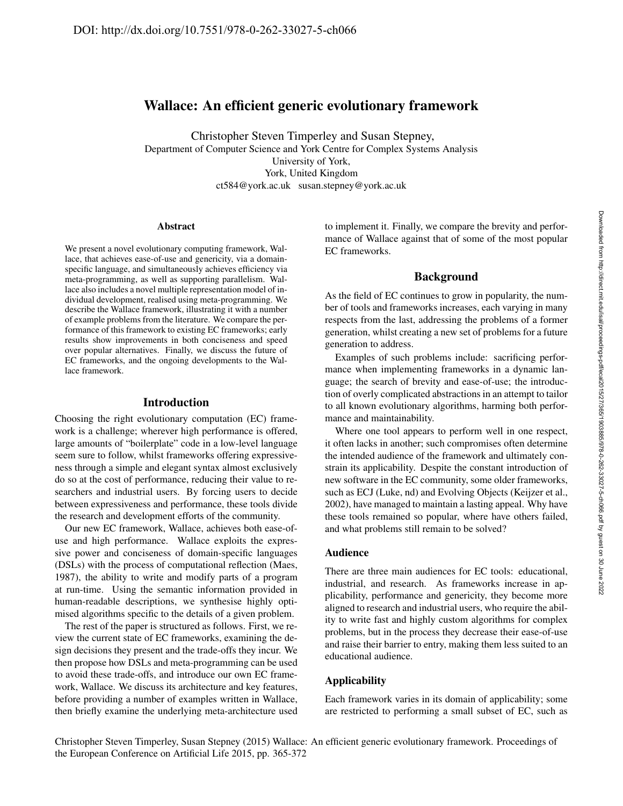# Wallace: An efficient generic evolutionary framework

Christopher Steven Timperley and Susan Stepney, Department of Computer Science and York Centre for Complex Systems Analysis University of York, York, United Kingdom ct584@york.ac.uk susan.stepney@york.ac.uk

#### Abstract

We present a novel evolutionary computing framework, Wallace, that achieves ease-of-use and genericity, via a domainspecific language, and simultaneously achieves efficiency via meta-programming, as well as supporting parallelism. Wallace also includes a novel multiple representation model of individual development, realised using meta-programming. We describe the Wallace framework, illustrating it with a number of example problems from the literature. We compare the performance of this framework to existing EC frameworks; early results show improvements in both conciseness and speed over popular alternatives. Finally, we discuss the future of EC frameworks, and the ongoing developments to the Wallace framework.

#### Introduction

Choosing the right evolutionary computation (EC) framework is a challenge; wherever high performance is offered, large amounts of "boilerplate" code in a low-level language seem sure to follow, whilst frameworks offering expressiveness through a simple and elegant syntax almost exclusively do so at the cost of performance, reducing their value to researchers and industrial users. By forcing users to decide between expressiveness and performance, these tools divide the research and development efforts of the community.

Our new EC framework, Wallace, achieves both ease-ofuse and high performance. Wallace exploits the expressive power and conciseness of domain-specific languages (DSLs) with the process of computational reflection (Maes, 1987), the ability to write and modify parts of a program at run-time. Using the semantic information provided in human-readable descriptions, we synthesise highly optimised algorithms specific to the details of a given problem.

The rest of the paper is structured as follows. First, we review the current state of EC frameworks, examining the design decisions they present and the trade-offs they incur. We then propose how DSLs and meta-programming can be used to avoid these trade-offs, and introduce our own EC framework, Wallace. We discuss its architecture and key features, before providing a number of examples written in Wallace, then briefly examine the underlying meta-architecture used to implement it. Finally, we compare the brevity and performance of Wallace against that of some of the most popular EC frameworks.

### Background

As the field of EC continues to grow in popularity, the number of tools and frameworks increases, each varying in many respects from the last, addressing the problems of a former generation, whilst creating a new set of problems for a future generation to address.

Examples of such problems include: sacrificing performance when implementing frameworks in a dynamic language; the search of brevity and ease-of-use; the introduction of overly complicated abstractions in an attempt to tailor to all known evolutionary algorithms, harming both performance and maintainability.

Where one tool appears to perform well in one respect, it often lacks in another; such compromises often determine the intended audience of the framework and ultimately constrain its applicability. Despite the constant introduction of new software in the EC community, some older frameworks, such as ECJ (Luke, nd) and Evolving Objects (Keijzer et al., 2002), have managed to maintain a lasting appeal. Why have these tools remained so popular, where have others failed, and what problems still remain to be solved?

### Audience

There are three main audiences for EC tools: educational, industrial, and research. As frameworks increase in applicability, performance and genericity, they become more aligned to research and industrial users, who require the ability to write fast and highly custom algorithms for complex problems, but in the process they decrease their ease-of-use and raise their barrier to entry, making them less suited to an educational audience.

# Applicability

Each framework varies in its domain of applicability; some are restricted to performing a small subset of EC, such as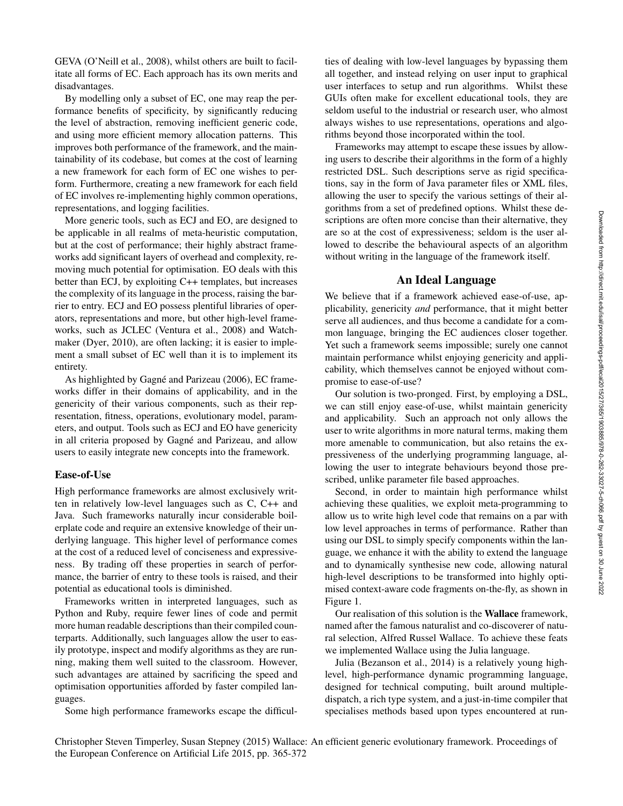GEVA (O'Neill et al., 2008), whilst others are built to facilitate all forms of EC. Each approach has its own merits and disadvantages.

By modelling only a subset of EC, one may reap the performance benefits of specificity, by significantly reducing the level of abstraction, removing inefficient generic code, and using more efficient memory allocation patterns. This improves both performance of the framework, and the maintainability of its codebase, but comes at the cost of learning a new framework for each form of EC one wishes to perform. Furthermore, creating a new framework for each field of EC involves re-implementing highly common operations, representations, and logging facilities.

More generic tools, such as ECJ and EO, are designed to be applicable in all realms of meta-heuristic computation, but at the cost of performance; their highly abstract frameworks add significant layers of overhead and complexity, removing much potential for optimisation. EO deals with this better than ECJ, by exploiting C++ templates, but increases the complexity of its language in the process, raising the barrier to entry. ECJ and EO possess plentiful libraries of operators, representations and more, but other high-level frameworks, such as JCLEC (Ventura et al., 2008) and Watchmaker (Dyer, 2010), are often lacking; it is easier to implement a small subset of EC well than it is to implement its entirety.

As highlighted by Gagné and Parizeau (2006), EC frameworks differ in their domains of applicability, and in the genericity of their various components, such as their representation, fitness, operations, evolutionary model, parameters, and output. Tools such as ECJ and EO have genericity in all criteria proposed by Gagné and Parizeau, and allow users to easily integrate new concepts into the framework.

#### Ease-of-Use

High performance frameworks are almost exclusively written in relatively low-level languages such as C, C++ and Java. Such frameworks naturally incur considerable boilerplate code and require an extensive knowledge of their underlying language. This higher level of performance comes at the cost of a reduced level of conciseness and expressiveness. By trading off these properties in search of performance, the barrier of entry to these tools is raised, and their potential as educational tools is diminished.

Frameworks written in interpreted languages, such as Python and Ruby, require fewer lines of code and permit more human readable descriptions than their compiled counterparts. Additionally, such languages allow the user to easily prototype, inspect and modify algorithms as they are running, making them well suited to the classroom. However, such advantages are attained by sacrificing the speed and optimisation opportunities afforded by faster compiled languages.

Some high performance frameworks escape the difficul-

ties of dealing with low-level languages by bypassing them all together, and instead relying on user input to graphical user interfaces to setup and run algorithms. Whilst these GUIs often make for excellent educational tools, they are seldom useful to the industrial or research user, who almost always wishes to use representations, operations and algorithms beyond those incorporated within the tool.

Frameworks may attempt to escape these issues by allowing users to describe their algorithms in the form of a highly restricted DSL. Such descriptions serve as rigid specifications, say in the form of Java parameter files or XML files, allowing the user to specify the various settings of their algorithms from a set of predefined options. Whilst these descriptions are often more concise than their alternative, they are so at the cost of expressiveness; seldom is the user allowed to describe the behavioural aspects of an algorithm without writing in the language of the framework itself.

# An Ideal Language

We believe that if a framework achieved ease-of-use, applicability, genericity *and* performance, that it might better serve all audiences, and thus become a candidate for a common language, bringing the EC audiences closer together. Yet such a framework seems impossible; surely one cannot maintain performance whilst enjoying genericity and applicability, which themselves cannot be enjoyed without compromise to ease-of-use?

Our solution is two-pronged. First, by employing a DSL, we can still enjoy ease-of-use, whilst maintain genericity and applicability. Such an approach not only allows the user to write algorithms in more natural terms, making them more amenable to communication, but also retains the expressiveness of the underlying programming language, allowing the user to integrate behaviours beyond those prescribed, unlike parameter file based approaches.

Second, in order to maintain high performance whilst achieving these qualities, we exploit meta-programming to allow us to write high level code that remains on a par with low level approaches in terms of performance. Rather than using our DSL to simply specify components within the language, we enhance it with the ability to extend the language and to dynamically synthesise new code, allowing natural high-level descriptions to be transformed into highly optimised context-aware code fragments on-the-fly, as shown in Figure 1.

Our realisation of this solution is the Wallace framework, named after the famous naturalist and co-discoverer of natural selection, Alfred Russel Wallace. To achieve these feats we implemented Wallace using the Julia language.

Julia (Bezanson et al., 2014) is a relatively young highlevel, high-performance dynamic programming language, designed for technical computing, built around multipledispatch, a rich type system, and a just-in-time compiler that specialises methods based upon types encountered at run-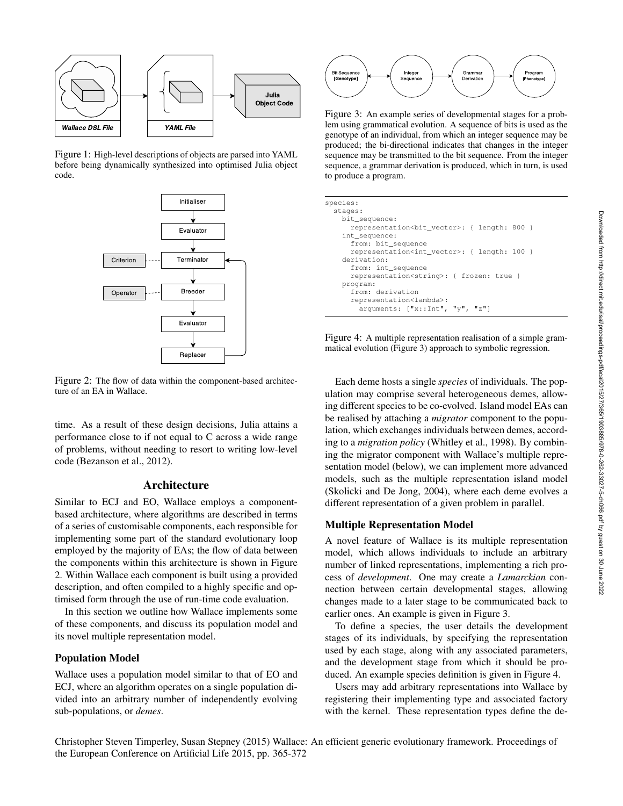

Figure 1: High-level descriptions of objects are parsed into YAML before being dynamically synthesized into optimised Julia object code.



Figure 2: The flow of data within the component-based architecture of an EA in Wallace.

time. As a result of these design decisions, Julia attains a performance close to if not equal to C across a wide range of problems, without needing to resort to writing low-level code (Bezanson et al., 2012).

#### Architecture

Similar to ECJ and EO, Wallace employs a componentbased architecture, where algorithms are described in terms of a series of customisable components, each responsible for implementing some part of the standard evolutionary loop employed by the majority of EAs; the flow of data between the components within this architecture is shown in Figure 2. Within Wallace each component is built using a provided description, and often compiled to a highly specific and optimised form through the use of run-time code evaluation.

In this section we outline how Wallace implements some of these components, and discuss its population model and its novel multiple representation model.

#### Population Model

Wallace uses a population model similar to that of EO and ECJ, where an algorithm operates on a single population divided into an arbitrary number of independently evolving sub-populations, or *demes*.



Figure 3: An example series of developmental stages for a problem using grammatical evolution. A sequence of bits is used as the genotype of an individual, from which an integer sequence may be produced; the bi-directional indicates that changes in the integer sequence may be transmitted to the bit sequence. From the integer sequence, a grammar derivation is produced, which in turn, is used to produce a program.

| species:                                                  |
|-----------------------------------------------------------|
| stages:                                                   |
| bit sequence:                                             |
| representation<br>bit vector>: { length: 800 }            |
| int_sequence:                                             |
| from: bit_sequence                                        |
| representation <int_vector>: { length: 100 }</int_vector> |
| derivation:                                               |
| from: int sequence                                        |
| representation <string>: { frozen: true }</string>        |
| program:                                                  |
| from: derivation                                          |
| representation <lambda>:</lambda>                         |
| arquments: ["x::Int", "y", "z"]                           |

Figure 4: A multiple representation realisation of a simple grammatical evolution (Figure 3) approach to symbolic regression.

Each deme hosts a single *species* of individuals. The population may comprise several heterogeneous demes, allowing different species to be co-evolved. Island model EAs can be realised by attaching a *migrator* component to the population, which exchanges individuals between demes, according to a *migration policy* (Whitley et al., 1998). By combining the migrator component with Wallace's multiple representation model (below), we can implement more advanced models, such as the multiple representation island model (Skolicki and De Jong, 2004), where each deme evolves a different representation of a given problem in parallel.

#### Multiple Representation Model

A novel feature of Wallace is its multiple representation model, which allows individuals to include an arbitrary number of linked representations, implementing a rich process of *development*. One may create a *Lamarckian* connection between certain developmental stages, allowing changes made to a later stage to be communicated back to earlier ones. An example is given in Figure 3.

To define a species, the user details the development stages of its individuals, by specifying the representation used by each stage, along with any associated parameters, and the development stage from which it should be produced. An example species definition is given in Figure 4.

Users may add arbitrary representations into Wallace by registering their implementing type and associated factory with the kernel. These representation types define the de-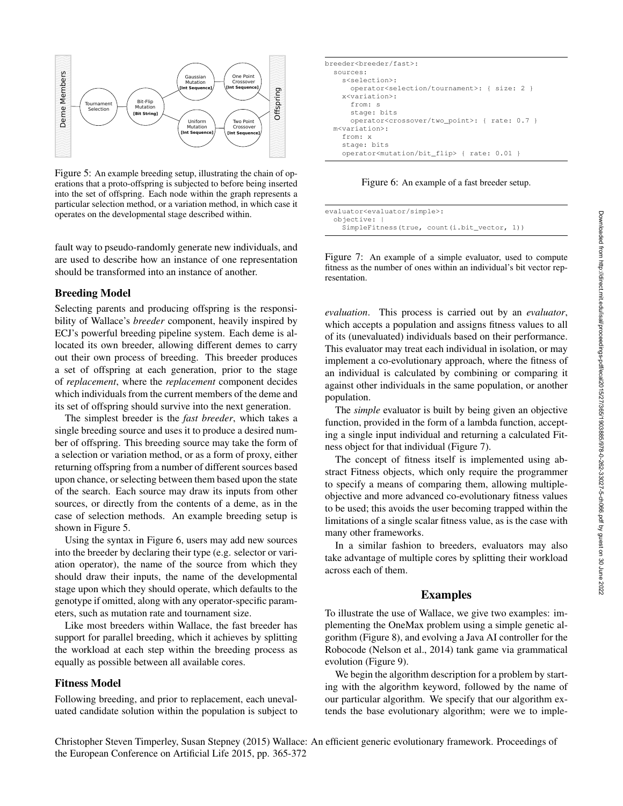

Figure 5: An example breeding setup, illustrating the chain of operations that a proto-offspring is subjected to before being inserted into the set of offspring. Each node within the graph represents a particular selection method, or a variation method, in which case it operates on the developmental stage described within.

fault way to pseudo-randomly generate new individuals, and are used to describe how an instance of one representation should be transformed into an instance of another.

#### Breeding Model

Selecting parents and producing offspring is the responsibility of Wallace's *breeder* component, heavily inspired by ECJ's powerful breeding pipeline system. Each deme is allocated its own breeder, allowing different demes to carry out their own process of breeding. This breeder produces a set of offspring at each generation, prior to the stage of *replacement*, where the *replacement* component decides which individuals from the current members of the deme and its set of offspring should survive into the next generation.

The simplest breeder is the *fast breeder*, which takes a single breeding source and uses it to produce a desired number of offspring. This breeding source may take the form of a selection or variation method, or as a form of proxy, either returning offspring from a number of different sources based upon chance, or selecting between them based upon the state of the search. Each source may draw its inputs from other sources, or directly from the contents of a deme, as in the case of selection methods. An example breeding setup is shown in Figure 5.

Using the syntax in Figure 6, users may add new sources into the breeder by declaring their type (e.g. selector or variation operator), the name of the source from which they should draw their inputs, the name of the developmental stage upon which they should operate, which defaults to the genotype if omitted, along with any operator-specific parameters, such as mutation rate and tournament size.

Like most breeders within Wallace, the fast breeder has support for parallel breeding, which it achieves by splitting the workload at each step within the breeding process as equally as possible between all available cores.

# Fitness Model

Following breeding, and prior to replacement, each unevaluated candidate solution within the population is subject to

| breeder <breeder fast="">:</breeder>                         |
|--------------------------------------------------------------|
| sources:                                                     |
| s <selection>:</selection>                                   |
| operator <selection tournament="">: { size: 2 }</selection>  |
| x <variation>:</variation>                                   |
| from: s                                                      |
| stage: bits                                                  |
| operator <crossover two_point="">: { rate: 0.7 }</crossover> |
| m <variation>:</variation>                                   |
| from: x                                                      |
| stage: bits                                                  |
| operator <mutation bit_flip=""> { rate: 0.01 }</mutation>    |
|                                                              |

Figure 6: An example of a fast breeder setup.

| evaluator <evaluator simple="">:</evaluator> |                                             |  |
|----------------------------------------------|---------------------------------------------|--|
| objective:                                   |                                             |  |
|                                              | SimpleFitness(true, count(i.bit_vector, 1)) |  |

Figure 7: An example of a simple evaluator, used to compute fitness as the number of ones within an individual's bit vector representation.

*evaluation*. This process is carried out by an *evaluator*, which accepts a population and assigns fitness values to all of its (unevaluated) individuals based on their performance. This evaluator may treat each individual in isolation, or may implement a co-evolutionary approach, where the fitness of an individual is calculated by combining or comparing it against other individuals in the same population, or another population.

The *simple* evaluator is built by being given an objective function, provided in the form of a lambda function, accepting a single input individual and returning a calculated Fitness object for that individual (Figure 7).

The concept of fitness itself is implemented using abstract Fitness objects, which only require the programmer to specify a means of comparing them, allowing multipleobjective and more advanced co-evolutionary fitness values to be used; this avoids the user becoming trapped within the limitations of a single scalar fitness value, as is the case with many other frameworks.

In a similar fashion to breeders, evaluators may also take advantage of multiple cores by splitting their workload across each of them.

### Examples

To illustrate the use of Wallace, we give two examples: implementing the OneMax problem using a simple genetic algorithm (Figure 8), and evolving a Java AI controller for the Robocode (Nelson et al., 2014) tank game via grammatical evolution (Figure 9).

We begin the algorithm description for a problem by starting with the algorithm keyword, followed by the name of our particular algorithm. We specify that our algorithm extends the base evolutionary algorithm; were we to imple-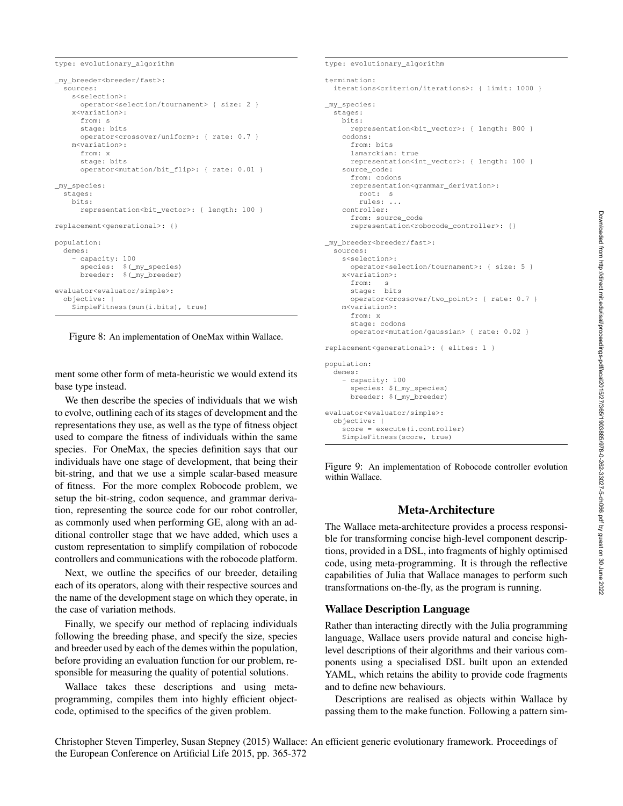type: evolutionary\_algorithm

```
_my_breeder<breeder/fast>:
  sources:
   s<selection>:
     operator<selection/tournament> { size: 2 }
    x<variation>:
     from: s
     stage: bits
     operator<crossover/uniform>: { rate: 0.7 }
   m<variation>:
     from: x
     stage: bits
     operator<mutation/bit_flip>: { rate: 0.01 }
_my_species:
 stages:
   bits:
     representation<bit_vector>: { length: 100 }
replacement<generational>: {}
population:
 demes:
    - capacity: 100
     species: $( my species)
     breeder: $(_my_breeder)
evaluator<evaluator/simple>:
 objective: |
   SimpleFitness(sum(i.bits), true)
```
Figure 8: An implementation of OneMax within Wallace.

ment some other form of meta-heuristic we would extend its base type instead.

We then describe the species of individuals that we wish to evolve, outlining each of its stages of development and the representations they use, as well as the type of fitness object used to compare the fitness of individuals within the same species. For OneMax, the species definition says that our individuals have one stage of development, that being their bit-string, and that we use a simple scalar-based measure of fitness. For the more complex Robocode problem, we setup the bit-string, codon sequence, and grammar derivation, representing the source code for our robot controller, as commonly used when performing GE, along with an additional controller stage that we have added, which uses a custom representation to simplify compilation of robocode controllers and communications with the robocode platform.

Next, we outline the specifics of our breeder, detailing each of its operators, along with their respective sources and the name of the development stage on which they operate, in the case of variation methods.

Finally, we specify our method of replacing individuals following the breeding phase, and specify the size, species and breeder used by each of the demes within the population, before providing an evaluation function for our problem, responsible for measuring the quality of potential solutions.

Wallace takes these descriptions and using metaprogramming, compiles them into highly efficient objectcode, optimised to the specifics of the given problem.

```
type: evolutionary_algorithm
termination:
  iterations<criterion/iterations>: { limit: 1000 }
_my_species:
  stages:
   bits:
      representation<bit_vector>: { length: 800 }
    codons:
     from: bits
     lamarckian: true
      representation<int_vector>: { length: 100 }
   source_code:
      from: codons
     representation<grammar_derivation>:
        root: s
        rules: ...
    controller:
      from: source_code
      representation<robocode_controller>: {}
_my_breeder<breeder/fast>:
  sources:
   s<selection>:
     operator<selection/tournament>: { size: 5 }
    x<variation>:
     from: s
      stage: bits
      operator<crossover/two_point>: { rate: 0.7 }
    m<variation>:
     from: x
      stage: codons
      operator<mutation/gaussian> { rate: 0.02 }
replacement<generational>: { elites: 1 }
population:
  demes:
    - capacity: 100
      species: $(_my_species)
      breeder: $(_my_breeder)
evaluator<evaluator/simple>:
  objective: |
    score = execute(i.controller)
    SimpleFitness(score, true)
```
Figure 9: An implementation of Robocode controller evolution within Wallace.

# Meta-Architecture

The Wallace meta-architecture provides a process responsible for transforming concise high-level component descriptions, provided in a DSL, into fragments of highly optimised code, using meta-programming. It is through the reflective capabilities of Julia that Wallace manages to perform such transformations on-the-fly, as the program is running.

# Wallace Description Language

Rather than interacting directly with the Julia programming language, Wallace users provide natural and concise highlevel descriptions of their algorithms and their various components using a specialised DSL built upon an extended YAML, which retains the ability to provide code fragments and to define new behaviours.

Descriptions are realised as objects within Wallace by passing them to the make function. Following a pattern sim-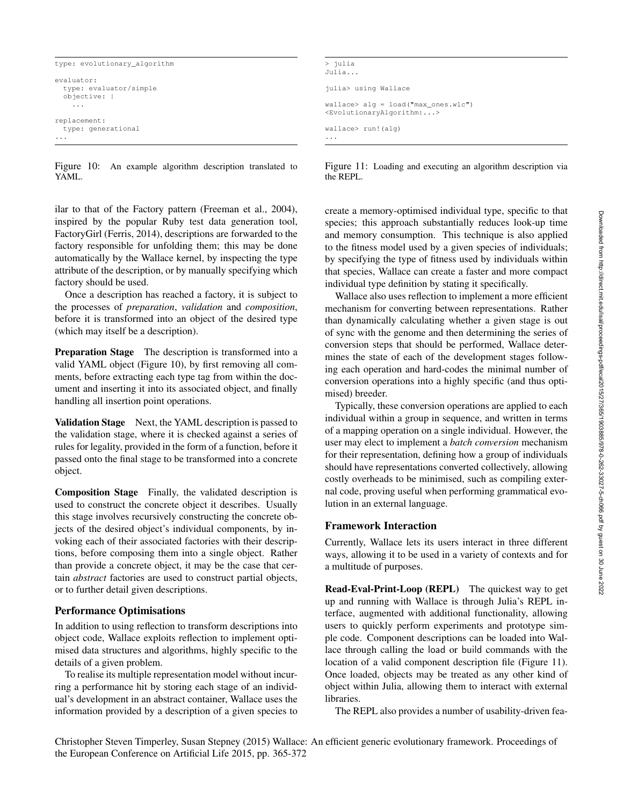```
Downloaded from http://direct.mit.edu/isal/proceedings-pdflecal2015/27/365/1903885/978-262-33027-5-ch066.pdf by guest on 30 June 2022
                         Downloaded from http://direct.mit.edu/isal/proceedings-pdf/ecal2015/27/365/1903885/978-0-262-33027-5-ch066.pdf by guest on 30 June 2022
```

```
type: evolutionary_algorithm
evaluator:
  type: evaluator/simple
  objective: |
    ...
replacement:
 type: generational
...
```
Figure 10: An example algorithm description translated to YAML.

ilar to that of the Factory pattern (Freeman et al., 2004), inspired by the popular Ruby test data generation tool, FactoryGirl (Ferris, 2014), descriptions are forwarded to the factory responsible for unfolding them; this may be done automatically by the Wallace kernel, by inspecting the type attribute of the description, or by manually specifying which factory should be used.

Once a description has reached a factory, it is subject to the processes of *preparation*, *validation* and *composition*, before it is transformed into an object of the desired type (which may itself be a description).

Preparation Stage The description is transformed into a valid YAML object (Figure 10), by first removing all comments, before extracting each type tag from within the document and inserting it into its associated object, and finally handling all insertion point operations.

Validation Stage Next, the YAML description is passed to the validation stage, where it is checked against a series of rules for legality, provided in the form of a function, before it passed onto the final stage to be transformed into a concrete object.

Composition Stage Finally, the validated description is used to construct the concrete object it describes. Usually this stage involves recursively constructing the concrete objects of the desired object's individual components, by invoking each of their associated factories with their descriptions, before composing them into a single object. Rather than provide a concrete object, it may be the case that certain *abstract* factories are used to construct partial objects, or to further detail given descriptions.

# Performance Optimisations

In addition to using reflection to transform descriptions into object code, Wallace exploits reflection to implement optimised data structures and algorithms, highly specific to the details of a given problem.

To realise its multiple representation model without incurring a performance hit by storing each stage of an individual's development in an abstract container, Wallace uses the information provided by a description of a given species to

```
> julia
Julia...
julia> using Wallace
wallace> alg = load("max_ones.wlc")
<EvolutionaryAlgorithm:...>
wallace> run!(alg)
...
```
Figure 11: Loading and executing an algorithm description via the REPL.

create a memory-optimised individual type, specific to that species; this approach substantially reduces look-up time and memory consumption. This technique is also applied to the fitness model used by a given species of individuals; by specifying the type of fitness used by individuals within that species, Wallace can create a faster and more compact individual type definition by stating it specifically.

Wallace also uses reflection to implement a more efficient mechanism for converting between representations. Rather than dynamically calculating whether a given stage is out of sync with the genome and then determining the series of conversion steps that should be performed, Wallace determines the state of each of the development stages following each operation and hard-codes the minimal number of conversion operations into a highly specific (and thus optimised) breeder.

Typically, these conversion operations are applied to each individual within a group in sequence, and written in terms of a mapping operation on a single individual. However, the user may elect to implement a *batch conversion* mechanism for their representation, defining how a group of individuals should have representations converted collectively, allowing costly overheads to be minimised, such as compiling external code, proving useful when performing grammatical evolution in an external language.

# Framework Interaction

Currently, Wallace lets its users interact in three different ways, allowing it to be used in a variety of contexts and for a multitude of purposes.

Read-Eval-Print-Loop (REPL) The quickest way to get up and running with Wallace is through Julia's REPL interface, augmented with additional functionality, allowing users to quickly perform experiments and prototype simple code. Component descriptions can be loaded into Wallace through calling the load or build commands with the location of a valid component description file (Figure 11). Once loaded, objects may be treated as any other kind of object within Julia, allowing them to interact with external libraries.

The REPL also provides a number of usability-driven fea-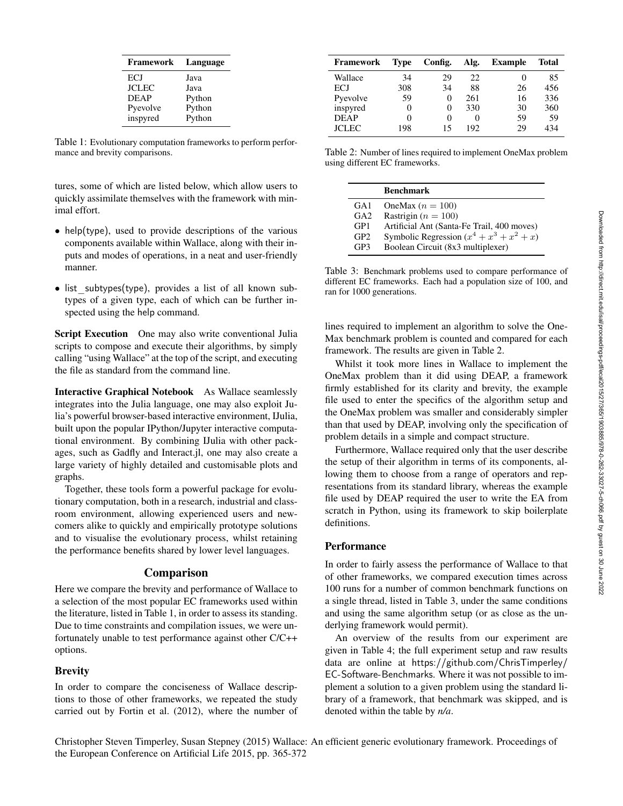| <b>Framework</b> | Language |
|------------------|----------|
| ECJ              | Java     |
| <b>JCLEC</b>     | Java     |
| <b>DEAP</b>      | Python   |
| Pyevolve         | Python   |
| inspyred         | Python   |

Table 1: Evolutionary computation frameworks to perform performance and brevity comparisons.

tures, some of which are listed below, which allow users to quickly assimilate themselves with the framework with minimal effort.

- help(type), used to provide descriptions of the various components available within Wallace, along with their inputs and modes of operations, in a neat and user-friendly manner.
- list subtypes(type), provides a list of all known subtypes of a given type, each of which can be further inspected using the help command.

Script Execution One may also write conventional Julia scripts to compose and execute their algorithms, by simply calling "using Wallace" at the top of the script, and executing the file as standard from the command line.

Interactive Graphical Notebook As Wallace seamlessly integrates into the Julia language, one may also exploit Julia's powerful browser-based interactive environment, IJulia, built upon the popular IPython/Jupyter interactive computational environment. By combining IJulia with other packages, such as Gadfly and Interact.jl, one may also create a large variety of highly detailed and customisable plots and graphs.

Together, these tools form a powerful package for evolutionary computation, both in a research, industrial and classroom environment, allowing experienced users and newcomers alike to quickly and empirically prototype solutions and to visualise the evolutionary process, whilst retaining the performance benefits shared by lower level languages.

### Comparison

Here we compare the brevity and performance of Wallace to a selection of the most popular EC frameworks used within the literature, listed in Table 1, in order to assess its standing. Due to time constraints and compilation issues, we were unfortunately unable to test performance against other C/C++ options.

### **Brevity**

In order to compare the conciseness of Wallace descriptions to those of other frameworks, we repeated the study carried out by Fortin et al. (2012), where the number of

| Framework    | Type | Config.           | Alg. | <b>Example</b> | <b>Total</b> |
|--------------|------|-------------------|------|----------------|--------------|
| Wallace      | 34   | 29                | 22   | 0              | 85           |
| ECJ          | 308  | 34                | 88   | 26             | 456          |
| Pyevolve     | 59   | $\Omega$          | 261  | 16             | 336          |
| inspyred     |      | $\theta$          | 330  | 30             | 360          |
| <b>DEAP</b>  | 0    | $\mathbf{\Omega}$ |      | 59             | 59           |
| <b>JCLEC</b> | 198  | 15                | 192  | 29             | 434          |

Table 2: Number of lines required to implement OneMax problem using different EC frameworks.

|                 | <b>Benchmark</b>                            |
|-----------------|---------------------------------------------|
| GA <sub>1</sub> | OneMax $(n = 100)$                          |
| $G_A2$          | Rastrigin ( $n = 100$ )                     |
| GP <sub>1</sub> | Artificial Ant (Santa-Fe Trail, 400 moves)  |
| GP2             | Symbolic Regression $(x^4 + x^3 + x^2 + x)$ |
| GP3             | Boolean Circuit (8x3 multiplexer)           |
|                 |                                             |

Table 3: Benchmark problems used to compare performance of different EC frameworks. Each had a population size of 100, and ran for 1000 generations.

lines required to implement an algorithm to solve the One-Max benchmark problem is counted and compared for each framework. The results are given in Table 2.

Whilst it took more lines in Wallace to implement the OneMax problem than it did using DEAP, a framework firmly established for its clarity and brevity, the example file used to enter the specifics of the algorithm setup and the OneMax problem was smaller and considerably simpler than that used by DEAP, involving only the specification of problem details in a simple and compact structure.

Furthermore, Wallace required only that the user describe the setup of their algorithm in terms of its components, allowing them to choose from a range of operators and representations from its standard library, whereas the example file used by DEAP required the user to write the EA from scratch in Python, using its framework to skip boilerplate definitions.

#### **Performance**

In order to fairly assess the performance of Wallace to that of other frameworks, we compared execution times across 100 runs for a number of common benchmark functions on a single thread, listed in Table 3, under the same conditions and using the same algorithm setup (or as close as the underlying framework would permit).

An overview of the results from our experiment are given in Table 4; the full experiment setup and raw results data are online at https://github.com/ChrisTimperley/ EC-Software-Benchmarks. Where it was not possible to implement a solution to a given problem using the standard library of a framework, that benchmark was skipped, and is denoted within the table by *n/a*.

Downloaded from http://direct.mit.edu/isal/proceedings-pdf/ecal2015/27/365/1903885/978-0-262-33027-5-ch066.pdf by guest on 30 June 2022